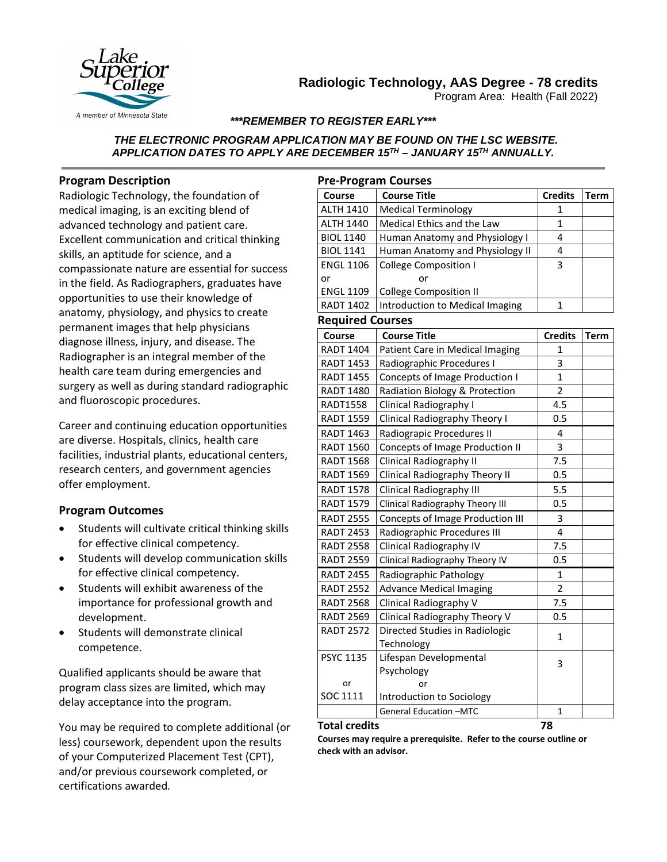

# **Radiologic Technology, AAS Degree - 78 credits**

Program Area: Health (Fall 2022)

### *\*\*\*REMEMBER TO REGISTER EARLY\*\*\**

### *THE ELECTRONIC PROGRAM APPLICATION MAY BE FOUND ON THE LSC WEBSITE. APPLICATION DATES TO APPLY ARE DECEMBER 15TH – JANUARY 15TH ANNUALLY.*

### **Program Description**

Radiologic Technology, the foundation of medical imaging, is an exciting blend of advanced technology and patient care. Excellent communication and critical thinking skills, an aptitude for science, and a compassionate nature are essential for success in the field. As Radiographers, graduates have opportunities to use their knowledge of anatomy, physiology, and physics to create permanent images that help physicians diagnose illness, injury, and disease. The Radiographer is an integral member of the health care team during emergencies and surgery as well as during standard radiographic and fluoroscopic procedures.

Career and continuing education opportunities are diverse. Hospitals, clinics, health care facilities, industrial plants, educational centers, research centers, and government agencies offer employment.

## **Program Outcomes**

- Students will cultivate critical thinking skills for effective clinical competency.
- Students will develop communication skills for effective clinical competency.
- Students will exhibit awareness of the importance for professional growth and development.
- Students will demonstrate clinical competence.

Qualified applicants should be aware that program class sizes are limited, which may delay acceptance into the program.

You may be required to complete additional (or less) coursework, dependent upon the results of your Computerized Placement Test (CPT), and/or previous coursework completed, or certifications awarded*.* 

### **Pre-Program Courses**

| Course           | <b>Course Title</b>             | <b>Credits</b> | Term |
|------------------|---------------------------------|----------------|------|
| <b>ALTH 1410</b> | <b>Medical Terminology</b>      |                |      |
| <b>ALTH 1440</b> | Medical Ethics and the Law      |                |      |
| <b>BIOL 1140</b> | Human Anatomy and Physiology I  | 4              |      |
| <b>BIOL 1141</b> | Human Anatomy and Physiology II |                |      |
| <b>ENGL 1106</b> | <b>College Composition I</b>    | 3              |      |
| or               | o٢                              |                |      |
| <b>ENGL 1109</b> | <b>College Composition II</b>   |                |      |
| <b>RADT 1402</b> | Introduction to Medical Imaging |                |      |

### **Required Courses**

| Course           | <b>Course Title</b>                     | <b>Credits</b> | <b>Term</b> |
|------------------|-----------------------------------------|----------------|-------------|
| <b>RADT 1404</b> | Patient Care in Medical Imaging         | 1              |             |
| <b>RADT 1453</b> | Radiographic Procedures I               | 3              |             |
| <b>RADT 1455</b> | <b>Concepts of Image Production I</b>   | $\mathbf{1}$   |             |
| <b>RADT 1480</b> | Radiation Biology & Protection          | $\overline{2}$ |             |
| <b>RADT1558</b>  | Clinical Radiography I                  | 4.5            |             |
| <b>RADT 1559</b> | Clinical Radiography Theory I           | 0.5            |             |
| <b>RADT 1463</b> | Radiograpic Procedures II               | 4              |             |
| <b>RADT 1560</b> | Concepts of Image Production II         | 3              |             |
| <b>RADT 1568</b> | <b>Clinical Radiography II</b>          | 7.5            |             |
| <b>RADT 1569</b> | Clinical Radiography Theory II          | 0.5            |             |
| <b>RADT 1578</b> | <b>Clinical Radiography III</b>         | 5.5            |             |
| <b>RADT 1579</b> | Clinical Radiography Theory III         | 0.5            |             |
| <b>RADT 2555</b> | <b>Concepts of Image Production III</b> | 3              |             |
| <b>RADT 2453</b> | Radiographic Procedures III             | 4              |             |
| <b>RADT 2558</b> | Clinical Radiography IV                 | 7.5            |             |
| <b>RADT 2559</b> | Clinical Radiography Theory IV          | 0.5            |             |
| <b>RADT 2455</b> | Radiographic Pathology                  | $\mathbf{1}$   |             |
| <b>RADT 2552</b> | <b>Advance Medical Imaging</b>          | $\overline{2}$ |             |
| <b>RADT 2568</b> | Clinical Radiography V                  | 7.5            |             |
| <b>RADT 2569</b> | Clinical Radiography Theory V           | 0.5            |             |
| <b>RADT 2572</b> | Directed Studies in Radiologic          | $\mathbf{1}$   |             |
|                  | Technology                              |                |             |
| <b>PSYC 1135</b> | Lifespan Developmental                  | 3              |             |
|                  | Psychology                              |                |             |
| or               | or                                      |                |             |
| SOC 1111         | Introduction to Sociology               |                |             |
|                  | General Education -MTC                  | $\mathbf{1}$   |             |

#### **Total credits 78**

**Courses may require a prerequisite. Refer to the course outline or check with an advisor.**